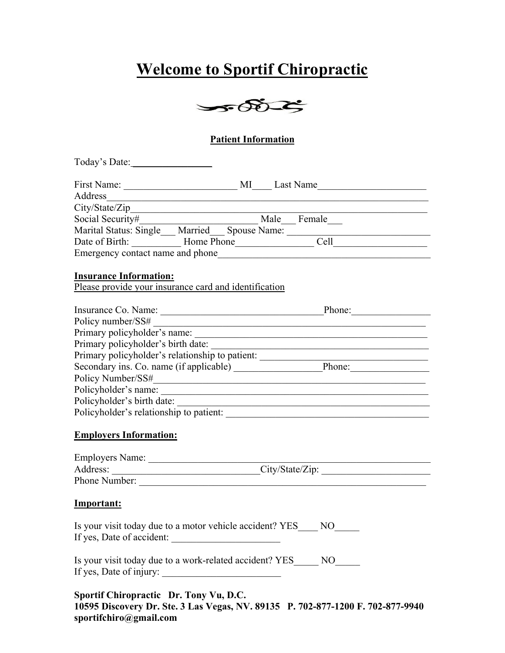# **Welcome to Sportif Chiropractic**



#### **Patient Information**

Today's Date: \_\_\_\_\_\_\_\_\_\_\_\_\_\_\_\_

| First Name:                      |            | MI                   | Last Name |  |
|----------------------------------|------------|----------------------|-----------|--|
| Address                          |            |                      |           |  |
| City/State/Zip                   |            |                      |           |  |
| Social Security#                 |            | Male                 | Female    |  |
| Marital Status: Single           |            | Married Spouse Name: |           |  |
| Date of Birth:                   | Home Phone |                      | Cell      |  |
| Emergency contact name and phone |            |                      |           |  |

#### **Insurance Information:**

Please provide your insurance card and identification

| Phone: |
|--------|
|        |
|        |
|        |
|        |
| Phone: |
|        |
|        |
|        |
|        |
|        |

#### **Employers Information:**

| <b>Employers Name:</b> |                 |
|------------------------|-----------------|
| Address:               | City/State/Zip: |
| Phone Number:          |                 |

#### **Important:**

| Is your visit today due to a motor vehicle accident? YES | NО |  |
|----------------------------------------------------------|----|--|
| If yes, Date of accident:                                |    |  |

Is your visit today due to a work-related accident? YES\_\_\_\_\_ NO\_\_\_\_\_ If yes, Date of injury: \_\_\_\_\_\_\_\_\_\_\_\_\_\_\_\_\_\_\_\_\_\_\_\_

| Sportif Chiropractic Dr. Tony Vu, D.C.                                          |  |
|---------------------------------------------------------------------------------|--|
| 10595 Discovery Dr. Ste. 3 Las Vegas, NV. 89135 P. 702-877-1200 F. 702-877-9940 |  |
| sportifchiro@gmail.com                                                          |  |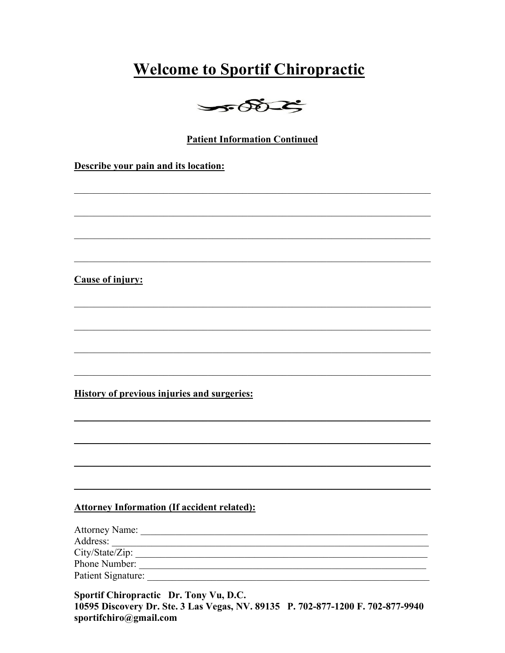## **Welcome to Sportif Chiropractic**



#### **Patient Information Continued**

Describe your pain and its location:

#### **Cause of injury:**

**History of previous injuries and surgeries:** 

#### **Attorney Information (If accident related):**

| <b>Attorney Name:</b> |  |  |
|-----------------------|--|--|
| Address:              |  |  |
| City/State/Zip:       |  |  |
| Phone Number:         |  |  |
| Patient Signature:    |  |  |

Sportif Chiropractic Dr. Tony Vu, D.C. 10595 Discovery Dr. Ste. 3 Las Vegas, NV. 89135 P. 702-877-1200 F. 702-877-9940 sportifchiro@gmail.com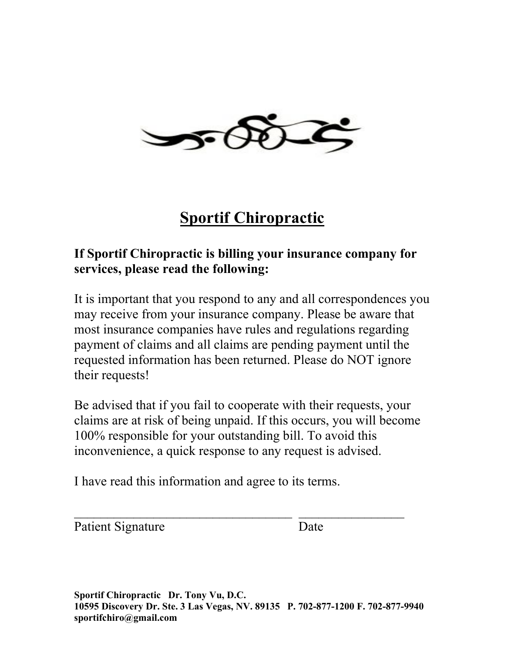

# **Sportif Chiropractic**

### **If Sportif Chiropractic is billing your insurance company for services, please read the following:**

It is important that you respond to any and all correspondences you may receive from your insurance company. Please be aware that most insurance companies have rules and regulations regarding payment of claims and all claims are pending payment until the requested information has been returned. Please do NOT ignore their requests!

Be advised that if you fail to cooperate with their requests, your claims are at risk of being unpaid. If this occurs, you will become 100% responsible for your outstanding bill. To avoid this inconvenience, a quick response to any request is advised.

 $\overline{\phantom{a}}$  , and the contract of the contract of the contract of the contract of the contract of the contract of the contract of the contract of the contract of the contract of the contract of the contract of the contrac

I have read this information and agree to its terms.

Patient Signature Date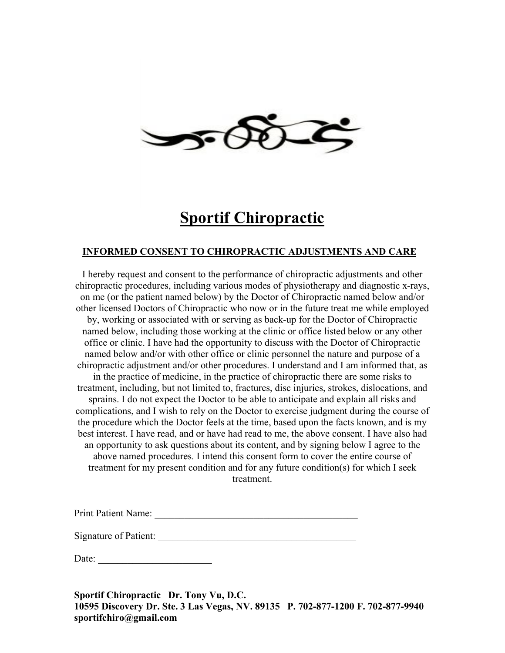

### **Sportif Chiropractic**

#### **INFORMED CONSENT TO CHIROPRACTIC ADJUSTMENTS AND CARE**

I hereby request and consent to the performance of chiropractic adjustments and other chiropractic procedures, including various modes of physiotherapy and diagnostic x-rays, on me (or the patient named below) by the Doctor of Chiropractic named below and/or other licensed Doctors of Chiropractic who now or in the future treat me while employed by, working or associated with or serving as back-up for the Doctor of Chiropractic named below, including those working at the clinic or office listed below or any other office or clinic. I have had the opportunity to discuss with the Doctor of Chiropractic named below and/or with other office or clinic personnel the nature and purpose of a chiropractic adjustment and/or other procedures. I understand and I am informed that, as in the practice of medicine, in the practice of chiropractic there are some risks to treatment, including, but not limited to, fractures, disc injuries, strokes, dislocations, and sprains. I do not expect the Doctor to be able to anticipate and explain all risks and complications, and I wish to rely on the Doctor to exercise judgment during the course of the procedure which the Doctor feels at the time, based upon the facts known, and is my best interest. I have read, and or have had read to me, the above consent. I have also had an opportunity to ask questions about its content, and by signing below I agree to the above named procedures. I intend this consent form to cover the entire course of treatment for my present condition and for any future condition(s) for which I seek treatment.

Print Patient Name: \_\_\_\_\_\_\_\_\_\_\_\_\_\_\_\_\_\_\_\_\_\_\_\_\_\_\_\_\_\_\_\_\_\_\_\_\_\_\_\_\_

Signature of Patient: \_\_\_\_\_\_\_\_\_\_\_\_\_\_\_\_\_\_\_\_\_\_\_\_\_\_\_\_\_\_\_\_\_\_\_\_\_\_\_\_

Date: \_\_\_\_\_\_\_\_\_\_\_\_\_\_\_\_\_\_\_\_\_\_\_

**Sportif Chiropractic Dr. Tony Vu, D.C. 10595 Discovery Dr. Ste. 3 Las Vegas, NV. 89135 P. 702-877-1200 F. 702-877-9940 sportifchiro@gmail.com**